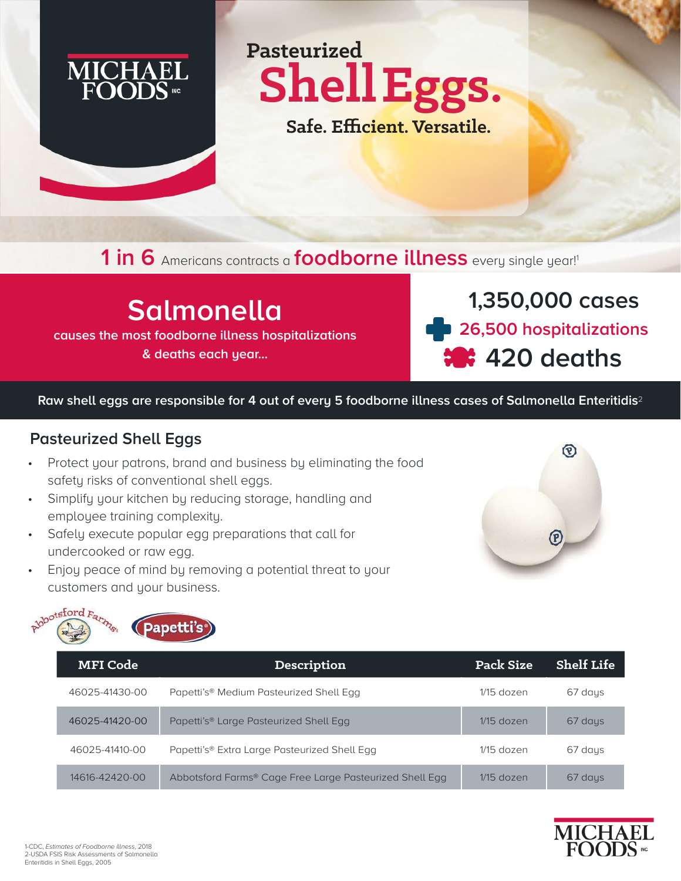

**Pasteurized ShellEggs.**

 **Safe. Efficient. Versatile.**

**1 in 6** Americans contracts a **foodborne illness** every single year!<sup>1</sup>

## **Salmonella**

**causes the most foodborne illness hospitalizations** 

**& deaths each year...**

**1,350,000 cases 26,500 hospitalizations 420 deaths** 

**Raw shell eggs are responsible for 4 out of every 5 foodborne illness cases of Salmonella Enteritidis**<sup>2</sup>

## **Pasteurized Shell Eggs**

- Protect your patrons, brand and business by eliminating the food safety risks of conventional shell eggs.
- Simplify your kitchen by reducing storage, handling and employee training complexity.
- Safely execute popular egg preparations that call for undercooked or raw egg.
- Enjoy peace of mind by removing a potential threat to your customers and your business.





| <b>MFI</b> Code | Description                                             | Pack Size    | <b>Shelf Life</b> |
|-----------------|---------------------------------------------------------|--------------|-------------------|
| 46025-41430-00  | Papetti's <sup>®</sup> Medium Pasteurized Shell Egg     | $1/15$ dozen | 67 days           |
| 46025-41420-00  | Papetti's <sup>®</sup> Large Pasteurized Shell Egg      | $1/15$ dozen | 67 days           |
| 46025-41410-00  | Papetti's® Extra Large Pasteurized Shell Egg            | $1/15$ dozen | 67 days           |
| 14616-42420-00  | Abbotsford Farms® Cage Free Large Pasteurized Shell Egg | $1/15$ dozen | 67 days           |